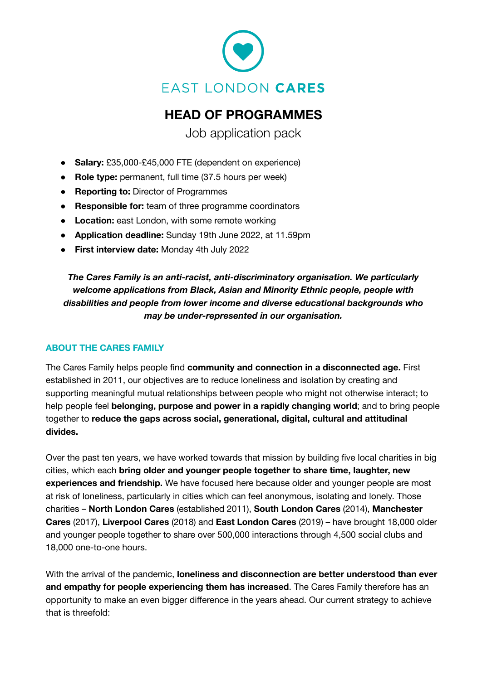

# **HEAD OF PROGRAMMES**

Job application pack

- **Salary:** £35,000-£45,000 FTE (dependent on experience)
- **Role type:** permanent, full time (37.5 hours per week)
- **Reporting to:** Director of Programmes
- **Responsible for:** team of three programme coordinators
- **Location:** east London, with some remote working
- **Application deadline:** Sunday 19th June 2022, at 11.59pm
- **First interview date:** Monday 4th July 2022

*The Cares Family is an anti-racist, anti-discriminatory organisation. We particularly welcome applications from Black, Asian and Minority Ethnic people, people with disabilities and people from lower income and diverse educational backgrounds who may be under-represented in our organisation.*

### **ABOUT THE CARES FAMILY**

The Cares Family helps people find **community and connection in a disconnected age.** First established in 2011, our objectives are to reduce loneliness and isolation by creating and supporting meaningful mutual relationships between people who might not otherwise interact; to help people feel **belonging, purpose and power in a rapidly changing world**; and to bring people together to **reduce the gaps across social, generational, digital, cultural and attitudinal divides.**

Over the past ten years, we have worked towards that mission by building five local charities in big cities, which each **bring older and younger people together to share time, laughter, new experiences and friendship.** We have focused here because older and younger people are most at risk of loneliness, particularly in cities which can feel anonymous, isolating and lonely. Those charities – **North London Cares** (established 2011), **South London Cares** (2014), **Manchester Cares** (2017), **Liverpool Cares** (2018) and **East London Cares** (2019) – have brought 18,000 older and younger people together to share over 500,000 interactions through 4,500 social clubs and 18,000 one-to-one hours.

With the arrival of the pandemic, **loneliness and disconnection are better understood than ever and empathy for people experiencing them has increased**. The Cares Family therefore has an opportunity to make an even bigger difference in the years ahead. Our current strategy to achieve that is threefold: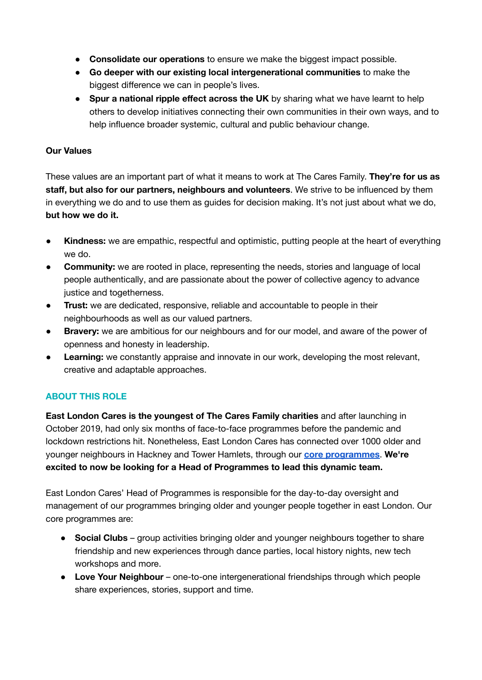- **Consolidate our operations** to ensure we make the biggest impact possible.
- **Go deeper with our existing local intergenerational communities** to make the biggest difference we can in people's lives.
- **Spur a national ripple effect across the UK** by sharing what we have learnt to help others to develop initiatives connecting their own communities in their own ways, and to help influence broader systemic, cultural and public behaviour change.

### **Our Values**

These values are an important part of what it means to work at The Cares Family. **They're for us as staff, but also for our partners, neighbours and volunteers**. We strive to be influenced by them in everything we do and to use them as guides for decision making. It's not just about what we do, **but how we do it.**

- **Kindness:** we are empathic, respectful and optimistic, putting people at the heart of everything we do.
- **Community:** we are rooted in place, representing the needs, stories and language of local people authentically, and are passionate about the power of collective agency to advance justice and togetherness.
- **Trust:** we are dedicated, responsive, reliable and accountable to people in their neighbourhoods as well as our valued partners.
- **Bravery:** we are ambitious for our neighbours and for our model, and aware of the power of openness and honesty in leadership.
- **Learning:** we constantly appraise and innovate in our work, developing the most relevant, creative and adaptable approaches.

## **ABOUT THIS ROLE**

**East London Cares is the youngest of The Cares Family charities** and after launching in October 2019, had only six months of face-to-face programmes before the pandemic and lockdown restrictions hit. Nonetheless, East London Cares has connected over 1000 older and younger neighbours in Hackney and Tower Hamlets, through our **core [programmes](https://eastlondoncares.org.uk/index.php/activities)**. **We're excited to now be looking for a Head of Programmes to lead this dynamic team.**

East London Cares' Head of Programmes is responsible for the day-to-day oversight and management of our programmes bringing older and younger people together in east London. Our core programmes are:

- **Social Clubs** group activities bringing older and younger neighbours together to share friendship and new experiences through dance parties, local history nights, new tech workshops and more.
- **Love Your Neighbour** one-to-one intergenerational friendships through which people share experiences, stories, support and time.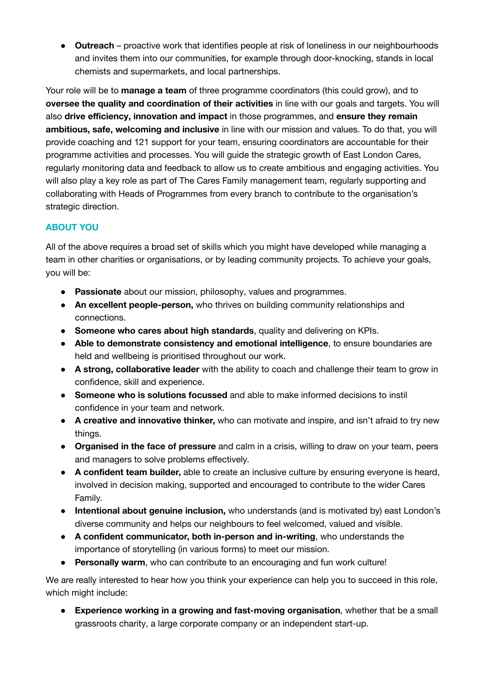● **Outreach** – proactive work that identifies people at risk of loneliness in our neighbourhoods and invites them into our communities, for example through door-knocking, stands in local chemists and supermarkets, and local partnerships.

Your role will be to **manage a team** of three programme coordinators (this could grow), and to **oversee the quality and coordination of their activities** in line with our goals and targets. You will also **drive efficiency, innovation and impact** in those programmes, and **ensure they remain ambitious, safe, welcoming and inclusive** in line with our mission and values. To do that, you will provide coaching and 121 support for your team, ensuring coordinators are accountable for their programme activities and processes. You will guide the strategic growth of East London Cares, regularly monitoring data and feedback to allow us to create ambitious and engaging activities. You will also play a key role as part of The Cares Family management team, regularly supporting and collaborating with Heads of Programmes from every branch to contribute to the organisation's strategic direction.

# **ABOUT YOU**

All of the above requires a broad set of skills which you might have developed while managing a team in other charities or organisations, or by leading community projects. To achieve your goals, you will be:

- **Passionate** about our mission, philosophy, values and programmes.
- **An excellent people-person,** who thrives on building community relationships and connections.
- **Someone who cares about high standards**, quality and delivering on KPIs.
- **Able to demonstrate consistency and emotional intelligence**, to ensure boundaries are held and wellbeing is prioritised throughout our work.
- **A strong, collaborative leader** with the ability to coach and challenge their team to grow in confidence, skill and experience.
- **Someone who is solutions focussed** and able to make informed decisions to instil confidence in your team and network.
- **A creative and innovative thinker,** who can motivate and inspire, and isn't afraid to try new things.
- **Organised in the face of pressure** and calm in a crisis, willing to draw on your team, peers and managers to solve problems effectively.
- **A confident team builder,** able to create an inclusive culture by ensuring everyone is heard, involved in decision making, supported and encouraged to contribute to the wider Cares Family.
- **Intentional about genuine inclusion,** who understands (and is motivated by) east London's diverse community and helps our neighbours to feel welcomed, valued and visible.
- **A confident communicator, both in-person and in-writing**, who understands the importance of storytelling (in various forms) to meet our mission.
- **Personally warm**, who can contribute to an encouraging and fun work culture!

We are really interested to hear how you think your experience can help you to succeed in this role, which might include:

● **Experience working in a growing and fast-moving organisation**, whether that be a small grassroots charity, a large corporate company or an independent start-up.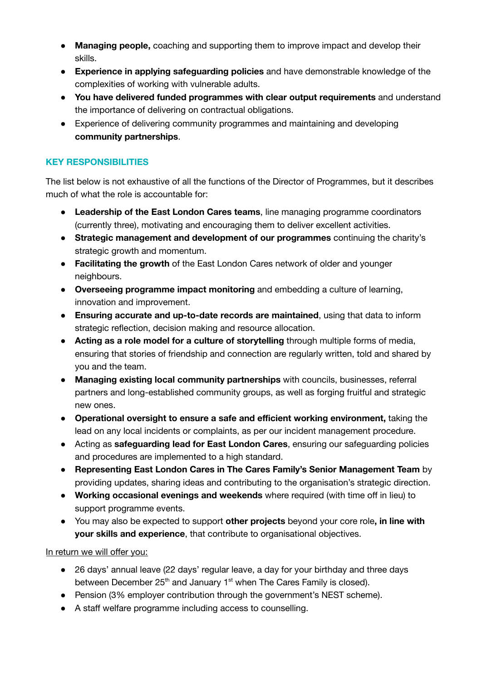- **Managing people,** coaching and supporting them to improve impact and develop their skills.
- **Experience in applying safeguarding policies** and have demonstrable knowledge of the complexities of working with vulnerable adults.
- **You have delivered funded programmes with clear output requirements** and understand the importance of delivering on contractual obligations.
- Experience of delivering community programmes and maintaining and developing **community partnerships**.

## **KEY RESPONSIBILITIES**

The list below is not exhaustive of all the functions of the Director of Programmes, but it describes much of what the role is accountable for:

- **Leadership of the East London Cares teams**, line managing programme coordinators (currently three), motivating and encouraging them to deliver excellent activities.
- **Strategic management and development of our programmes** continuing the charity's strategic growth and momentum.
- **Facilitating the growth** of the East London Cares network of older and younger neighbours.
- **Overseeing programme impact monitoring** and embedding a culture of learning, innovation and improvement.
- **Ensuring accurate and up-to-date records are maintained**, using that data to inform strategic reflection, decision making and resource allocation.
- **Acting as a role model for a culture of storytelling** through multiple forms of media, ensuring that stories of friendship and connection are regularly written, told and shared by you and the team.
- **Managing existing local community partnerships** with councils, businesses, referral partners and long-established community groups, as well as forging fruitful and strategic new ones.
- **Operational oversight to ensure a safe and efficient working environment,** taking the lead on any local incidents or complaints, as per our incident management procedure.
- Acting as **safeguarding lead for East London Cares**, ensuring our safeguarding policies and procedures are implemented to a high standard.
- **Representing East London Cares in The Cares Family's Senior Management Team** by providing updates, sharing ideas and contributing to the organisation's strategic direction.
- **Working occasional evenings and weekends** where required (with time off in lieu) to support programme events.
- You may also be expected to support **other projects** beyond your core role**, in line with your skills and experience**, that contribute to organisational objectives.

### In return we will offer you:

- 26 days' annual leave (22 days' regular leave, a day for your birthday and three days between December 25<sup>th</sup> and January 1<sup>st</sup> when The Cares Family is closed).
- Pension (3% employer contribution through the government's NEST scheme).
- A staff welfare programme including access to counselling.